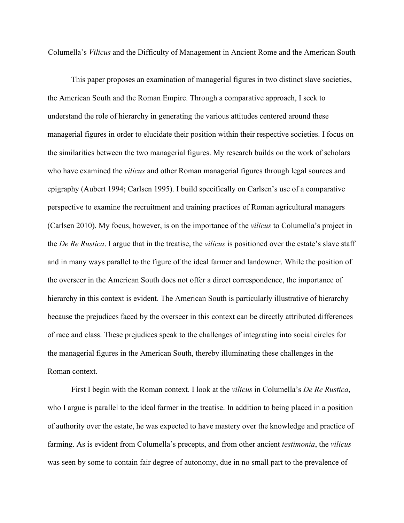Columella's *Vilicus* and the Difficulty of Management in Ancient Rome and the American South

This paper proposes an examination of managerial figures in two distinct slave societies, the American South and the Roman Empire. Through a comparative approach, I seek to understand the role of hierarchy in generating the various attitudes centered around these managerial figures in order to elucidate their position within their respective societies. I focus on the similarities between the two managerial figures. My research builds on the work of scholars who have examined the *vilicus* and other Roman managerial figures through legal sources and epigraphy (Aubert 1994; Carlsen 1995). I build specifically on Carlsen's use of a comparative perspective to examine the recruitment and training practices of Roman agricultural managers (Carlsen 2010). My focus, however, is on the importance of the *vilicus* to Columella's project in the *De Re Rustica*. I argue that in the treatise, the *vilicus* is positioned over the estate's slave staff and in many ways parallel to the figure of the ideal farmer and landowner. While the position of the overseer in the American South does not offer a direct correspondence, the importance of hierarchy in this context is evident. The American South is particularly illustrative of hierarchy because the prejudices faced by the overseer in this context can be directly attributed differences of race and class. These prejudices speak to the challenges of integrating into social circles for the managerial figures in the American South, thereby illuminating these challenges in the Roman context.

First I begin with the Roman context. I look at the *vilicus* in Columella's *De Re Rustica*, who I argue is parallel to the ideal farmer in the treatise. In addition to being placed in a position of authority over the estate, he was expected to have mastery over the knowledge and practice of farming. As is evident from Columella's precepts, and from other ancient *testimonia*, the *vilicus* was seen by some to contain fair degree of autonomy, due in no small part to the prevalence of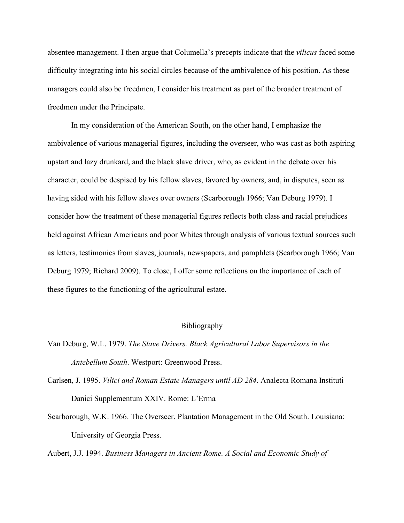absentee management. I then argue that Columella's precepts indicate that the *vilicus* faced some difficulty integrating into his social circles because of the ambivalence of his position. As these managers could also be freedmen, I consider his treatment as part of the broader treatment of freedmen under the Principate.

In my consideration of the American South, on the other hand, I emphasize the ambivalence of various managerial figures, including the overseer, who was cast as both aspiring upstart and lazy drunkard, and the black slave driver, who, as evident in the debate over his character, could be despised by his fellow slaves, favored by owners, and, in disputes, seen as having sided with his fellow slaves over owners (Scarborough 1966; Van Deburg 1979). I consider how the treatment of these managerial figures reflects both class and racial prejudices held against African Americans and poor Whites through analysis of various textual sources such as letters, testimonies from slaves, journals, newspapers, and pamphlets (Scarborough 1966; Van Deburg 1979; Richard 2009). To close, I offer some reflections on the importance of each of these figures to the functioning of the agricultural estate.

## Bibliography

- Van Deburg, W.L. 1979. *The Slave Drivers. Black Agricultural Labor Supervisors in the Antebellum South*. Westport: Greenwood Press.
- Carlsen, J. 1995. *Vilici and Roman Estate Managers until AD 284*. Analecta Romana Instituti Danici Supplementum XXIV. Rome: L'Erma
- Scarborough, W.K. 1966. The Overseer. Plantation Management in the Old South. Louisiana: University of Georgia Press.

Aubert, J.J. 1994. *Business Managers in Ancient Rome. A Social and Economic Study of*